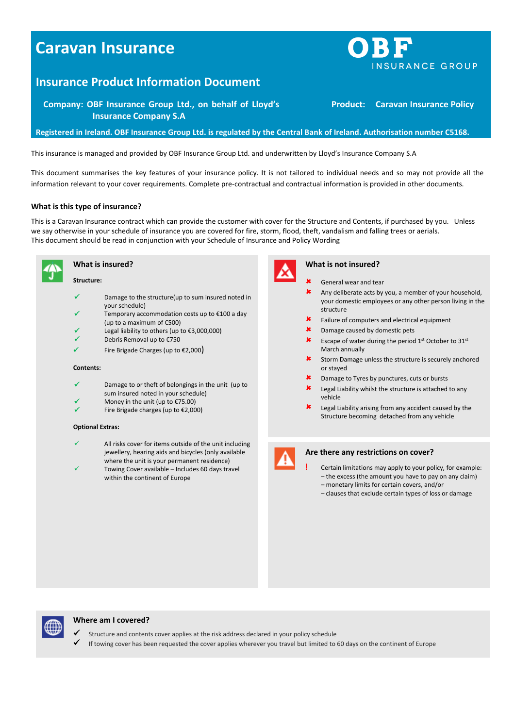# **Caravan Insurance**

## **Insurance Product Information Document**

**Company: OBF Insurance Group Ltd., on behalf of Lloyd's Insurance Company S.A**

**Registered in Ireland. OBF Insurance Group Ltd. is regulated by the Central Bank of Ireland. Authorisation number C5168.**

This insurance is managed and provided by OBF Insurance Group Ltd. and underwritten by Lloyd's Insurance Company S.A

This document summarises the key features of your insurance policy. It is not tailored to individual needs and so may not provide all the information relevant to your cover requirements. Complete pre-contractual and contractual information is provided in other documents.

## **What is this type of insurance?**

This is a Caravan Insurance contract which can provide the customer with cover for the Structure and Contents, if purchased by you. Unless we say otherwise in your schedule of insurance you are covered for fire, storm, flood, theft, vandalism and falling trees or aerials. This document should be read in conjunction with your Schedule of Insurance and Policy Wording



**What is insured?**

## **Structure:**

- $\checkmark$  Damage to the structure(up to sum insured noted in your schedule)
- Temporary accommodation costs up to €100 a day (up to a maximum of €500)
- Legal liability to others (up to €3,000,000)
- Debris Removal up to €750
- $\checkmark$  Fire Brigade Charges (up to  $\epsilon$ 2,000)

#### **Contents:**

- Damage to or theft of belongings in the unit (up to
- sum insured noted in your schedule) Money in the unit (up to €75.00)
- Fire Brigade charges (up to €2,000)

#### **Optional Extras:**

- All risks cover for items outside of the unit including jewellery, hearing aids and bicycles (only available where the unit is your permanent residence)
- Towing Cover available Includes 60 days travel within the continent of Europe



## **What is not insured?**

- General wear and tear
- Any deliberate acts by you, a member of your household, your domestic employees or any other person living in the structure
- Failure of computers and electrical equipment
- Damage caused by domestic pets
- **\*** Escape of water during the period  $1^{st}$  October to  $31^{st}$ March annually
- Storm Damage unless the structure is securely anchored or stayed
- Damage to Tyres by punctures, cuts or bursts
- Legal Liability whilst the structure is attached to any vehicle
- Legal Liability arising from any accident caused by the Structure becoming detached from any vehicle

## **Are there any restrictions on cover?**

## **!** Certain limitations may apply to your policy, for example: – the excess (the amount you have to pay on any claim)

- monetary limits for certain covers, and/or
- clauses that exclude certain types of loss or damage



- Structure and contents cover applies at the risk address declared in your policy schedule
- If towing cover has been requested the cover applies wherever you travel but limited to 60 days on the continent of Europe



**Product: Caravan Insurance Policy**